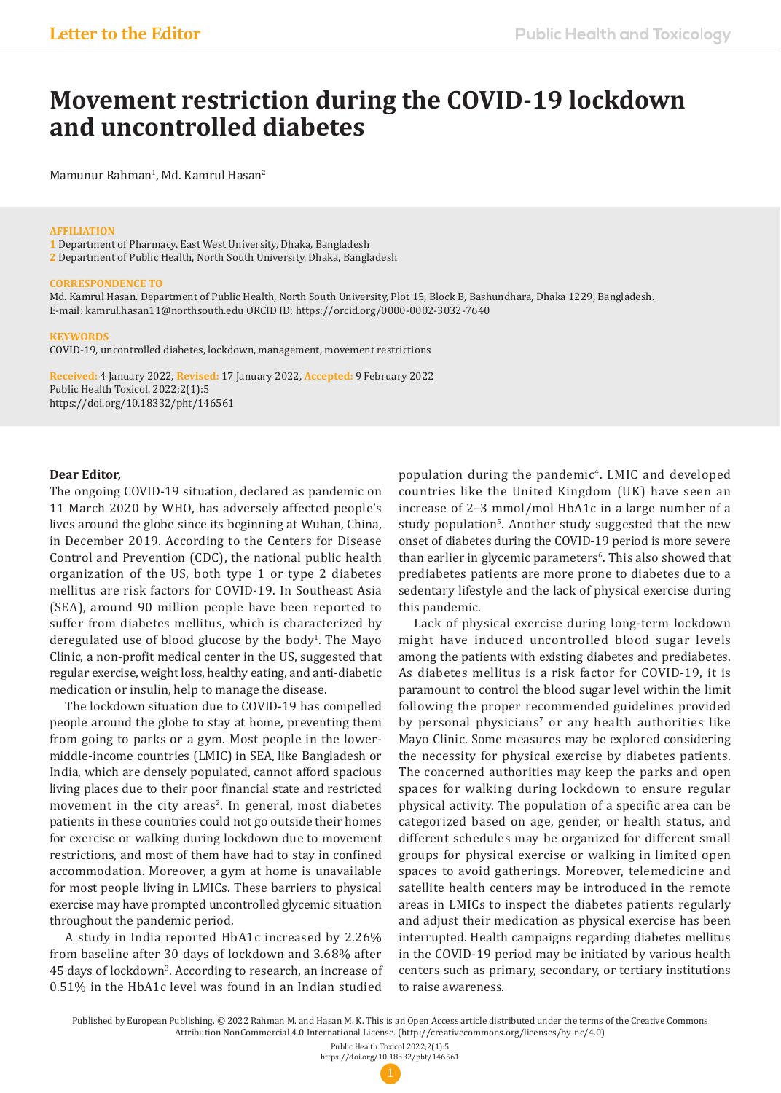# **Movement restriction during the COVID-19 lockdown and uncontrolled diabetes**

Mamunur Rahman<sup>1</sup>, Md. Kamrul Hasan<sup>2</sup>

#### **AFFILIATION**

**1** Department of Pharmacy, East West University, Dhaka, Bangladesh **2** Department of Public Health, North South University, Dhaka, Bangladesh

#### **CORRESPONDENCE TO**

Md. Kamrul Hasan. Department of Public Health, North South University, Plot 15, Block B, Bashundhara, Dhaka 1229, Bangladesh. E-mail: kamrul.hasan11@northsouth.edu ORCID ID: https://orcid.org/0000-0002-3032-7640

#### **KEYWORDS**

COVID-19, uncontrolled diabetes, lockdown, management, movement restrictions

**Received:** 4 January 2022, **Revised:** 17 January 2022, **Accepted:** 9 February 2022 Public Health Toxicol. 2022;2(1):5 https://doi.org/10.18332/pht/146561

### **Dear Editor,**

The ongoing COVID-19 situation, declared as pandemic on 11 March 2020 by WHO, has adversely affected people's lives around the globe since its beginning at Wuhan, China, in December 2019. According to the Centers for Disease Control and Prevention (CDC), the national public health organization of the US, both type 1 or type 2 diabetes mellitus are risk factors for COVID-19. In Southeast Asia (SEA), around 90 million people have been reported to suffer from diabetes mellitus, which is characterized by deregulated use of blood glucose by the body<sup>1</sup>. The Mayo Clinic, a non-profit medical center in the US, suggested that regular exercise, weight loss, healthy eating, and anti-diabetic medication or insulin, help to manage the disease.

The lockdown situation due to COVID-19 has compelled people around the globe to stay at home, preventing them from going to parks or a gym. Most people in the lowermiddle-income countries (LMIC) in SEA, like Bangladesh or India, which are densely populated, cannot afford spacious living places due to their poor financial state and restricted movement in the city areas<sup>2</sup>. In general, most diabetes patients in these countries could not go outside their homes for exercise or walking during lockdown due to movement restrictions, and most of them have had to stay in confined accommodation. Moreover, a gym at home is unavailable for most people living in LMICs. These barriers to physical exercise may have prompted uncontrolled glycemic situation throughout the pandemic period.

A study in India reported HbA1c increased by 2.26% from baseline after 30 days of lockdown and 3.68% after 45 days of lockdown3 . According to research, an increase of 0.51% in the HbA1c level was found in an Indian studied

population during the pandemic4. LMIC and developed countries like the United Kingdom (UK) have seen an increase of 2–3 mmol/mol HbA1c in a large number of a study population<sup>5</sup>. Another study suggested that the new onset of diabetes during the COVID-19 period is more severe than earlier in glycemic parameters<sup>6</sup>. This also showed that prediabetes patients are more prone to diabetes due to a sedentary lifestyle and the lack of physical exercise during this pandemic.

Lack of physical exercise during long-term lockdown might have induced uncontrolled blood sugar levels among the patients with existing diabetes and prediabetes. As diabetes mellitus is a risk factor for COVID-19, it is paramount to control the blood sugar level within the limit following the proper recommended guidelines provided by personal physicians<sup>7</sup> or any health authorities like Mayo Clinic. Some measures may be explored considering the necessity for physical exercise by diabetes patients. The concerned authorities may keep the parks and open spaces for walking during lockdown to ensure regular physical activity. The population of a specific area can be categorized based on age, gender, or health status, and different schedules may be organized for different small groups for physical exercise or walking in limited open spaces to avoid gatherings. Moreover, telemedicine and satellite health centers may be introduced in the remote areas in LMICs to inspect the diabetes patients regularly and adjust their medication as physical exercise has been interrupted. Health campaigns regarding diabetes mellitus in the COVID-19 period may be initiated by various health centers such as primary, secondary, or tertiary institutions to raise awareness.

Published by European Publishing. © 2022 Rahman M. and Hasan M. K. This is an Open Access article distributed under the terms of the Creative Commons Attribution NonCommercial 4.0 International License. (http://creativecommons.org/licenses/by-nc/4.0)